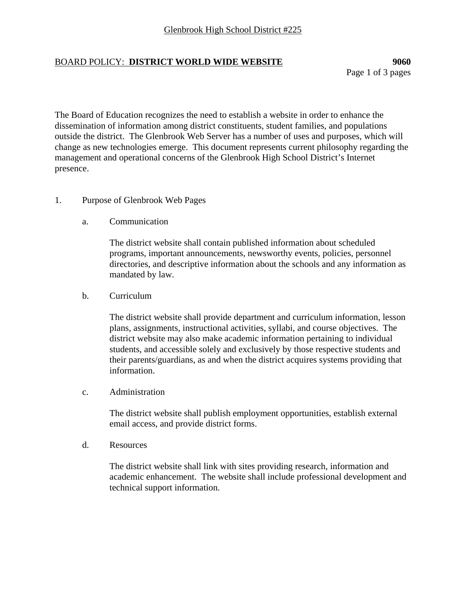## BOARD POLICY: **DISTRICT WORLD WIDE WEBSITE 9060**

Page 1 of 3 pages

The Board of Education recognizes the need to establish a website in order to enhance the dissemination of information among district constituents, student families, and populations outside the district. The Glenbrook Web Server has a number of uses and purposes, which will change as new technologies emerge. This document represents current philosophy regarding the management and operational concerns of the Glenbrook High School District's Internet presence.

## 1. Purpose of Glenbrook Web Pages

a. Communication

The district website shall contain published information about scheduled programs, important announcements, newsworthy events, policies, personnel directories, and descriptive information about the schools and any information as mandated by law.

b. Curriculum

The district website shall provide department and curriculum information, lesson plans, assignments, instructional activities, syllabi, and course objectives. The district website may also make academic information pertaining to individual students, and accessible solely and exclusively by those respective students and their parents/guardians, as and when the district acquires systems providing that information.

c. Administration

The district website shall publish employment opportunities, establish external email access, and provide district forms.

d. Resources

The district website shall link with sites providing research, information and academic enhancement. The website shall include professional development and technical support information.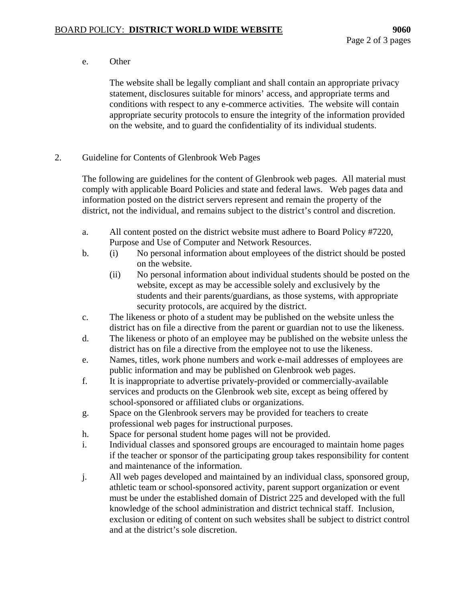e. Other

The website shall be legally compliant and shall contain an appropriate privacy statement, disclosures suitable for minors' access, and appropriate terms and conditions with respect to any e-commerce activities. The website will contain appropriate security protocols to ensure the integrity of the information provided on the website, and to guard the confidentiality of its individual students.

2. Guideline for Contents of Glenbrook Web Pages

The following are guidelines for the content of Glenbrook web pages. All material must comply with applicable Board Policies and state and federal laws. Web pages data and information posted on the district servers represent and remain the property of the district, not the individual, and remains subject to the district's control and discretion.

- a. All content posted on the district website must adhere to Board Policy #7220, Purpose and Use of Computer and Network Resources.
- b. (i) No personal information about employees of the district should be posted on the website.
	- (ii) No personal information about individual students should be posted on the website, except as may be accessible solely and exclusively by the students and their parents/guardians, as those systems, with appropriate security protocols, are acquired by the district.
- c. The likeness or photo of a student may be published on the website unless the district has on file a directive from the parent or guardian not to use the likeness.
- d. The likeness or photo of an employee may be published on the website unless the district has on file a directive from the employee not to use the likeness.
- e. Names, titles, work phone numbers and work e-mail addresses of employees are public information and may be published on Glenbrook web pages.
- f. It is inappropriate to advertise privately-provided or commercially-available services and products on the Glenbrook web site, except as being offered by school-sponsored or affiliated clubs or organizations.
- g. Space on the Glenbrook servers may be provided for teachers to create professional web pages for instructional purposes.
- h. Space for personal student home pages will not be provided.
- i. Individual classes and sponsored groups are encouraged to maintain home pages if the teacher or sponsor of the participating group takes responsibility for content and maintenance of the information.
- j. All web pages developed and maintained by an individual class, sponsored group, athletic team or school-sponsored activity, parent support organization or event must be under the established domain of District 225 and developed with the full knowledge of the school administration and district technical staff. Inclusion, exclusion or editing of content on such websites shall be subject to district control and at the district's sole discretion.